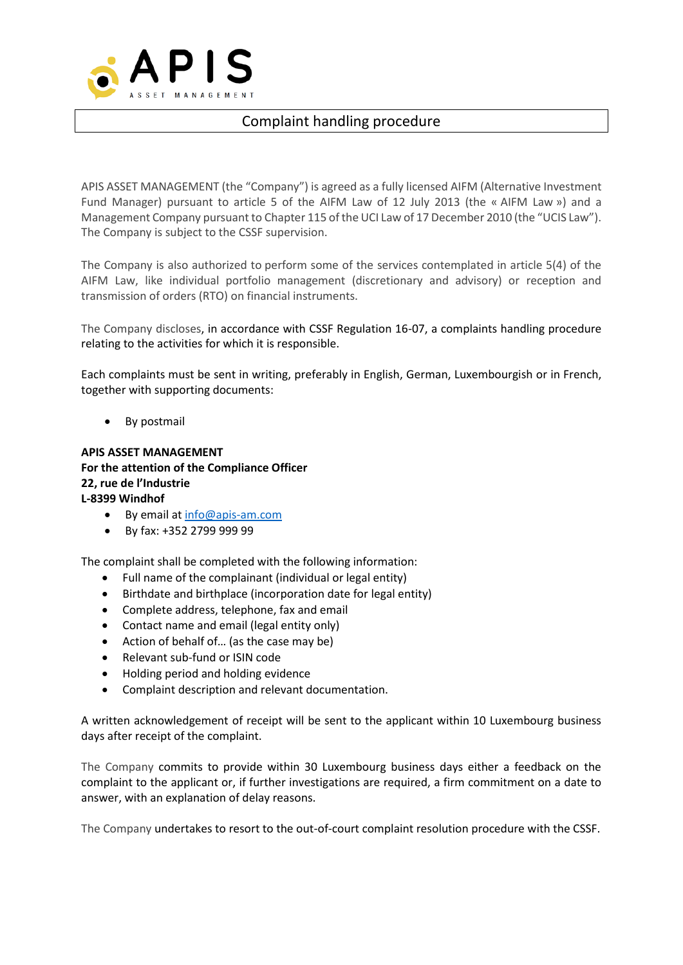

## Complaint handling procedure

APIS ASSET MANAGEMENT (the "Company") is agreed as a fully licensed AIFM (Alternative Investment Fund Manager) pursuant to article 5 of the AIFM Law of 12 July 2013 (the « AIFM Law ») and a Management Company pursuant to Chapter 115 of the UCI Law of 17 December 2010 (the "UCIS Law"). The Company is subject to the CSSF supervision.

The Company is also authorized to perform some of the services contemplated in article 5(4) of the AIFM Law, like individual portfolio management (discretionary and advisory) or reception and transmission of orders (RTO) on financial instruments.

The Company discloses, in accordance with CSSF Regulation 16-07, a complaints handling procedure relating to the activities for which it is responsible.

Each complaints must be sent in writing, preferably in English, German, Luxembourgish or in French, together with supporting documents:

By postmail

**APIS ASSET MANAGEMENT For the attention of the Compliance Officer 22, rue de l'Industrie L-8399 Windhof**

- By email at [info@apis-am.com](mailto:info@apis-am.com)
- By fax: +352 2799 999 99

The complaint shall be completed with the following information:

- Full name of the complainant (individual or legal entity)
- Birthdate and birthplace (incorporation date for legal entity)
- Complete address, telephone, fax and email
- Contact name and email (legal entity only)
- Action of behalf of... (as the case may be)
- Relevant sub-fund or ISIN code
- Holding period and holding evidence
- Complaint description and relevant documentation.

A written acknowledgement of receipt will be sent to the applicant within 10 Luxembourg business days after receipt of the complaint.

The Company commits to provide within 30 Luxembourg business days either a feedback on the complaint to the applicant or, if further investigations are required, a firm commitment on a date to answer, with an explanation of delay reasons.

The Company undertakes to resort to the out-of-court complaint resolution procedure with the CSSF.